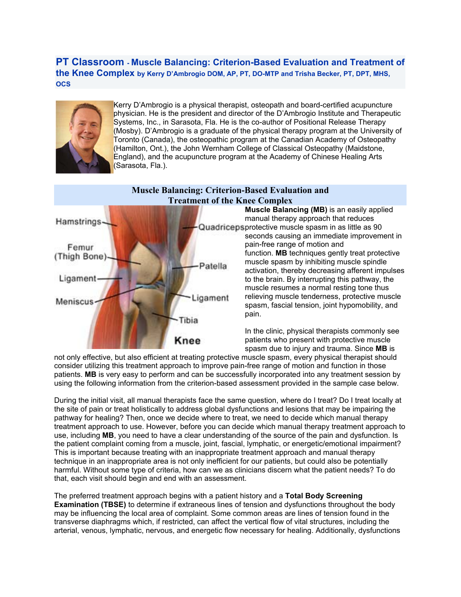**PT Classroom - Muscle Balancing: Criterion-Based Evaluation and Treatment of the Knee Complex by Kerry D'Ambrogio DOM, AP, PT, DO-MTP and Trisha Becker, PT, DPT, MHS, OCS**



Kerry D'Ambrogio is a physical therapist, osteopath and board-certified acupuncture physician. He is the president and director of the D'Ambrogio Institute and Therapeutic Systems, Inc., in Sarasota, Fla. He is the co-author of Positional Release Therapy (Mosby). D'Ambrogio is a graduate of the physical therapy program at the University of Toronto (Canada), the osteopathic program at the Canadian Academy of Osteopathy (Hamilton, Ont.), the John Wernham College of Classical Osteopathy (Maidstone, England), and the acupuncture program at the Academy of Chinese Healing Arts (Sarasota, Fla.).



not only effective, but also efficient at treating protective muscle spasm, every physical therapist should consider utilizing this treatment approach to improve pain-free range of motion and function in those patients. **MB** is very easy to perform and can be successfully incorporated into any treatment session by using the following information from the criterion-based assessment provided in the sample case below.

During the initial visit, all manual therapists face the same question, where do I treat? Do I treat locally at the site of pain or treat holistically to address global dysfunctions and lesions that may be impairing the pathway for healing? Then, once we decide where to treat, we need to decide which manual therapy treatment approach to use. However, before you can decide which manual therapy treatment approach to use, including **MB**, you need to have a clear understanding of the source of the pain and dysfunction. Is the patient complaint coming from a muscle, joint, fascial, lymphatic, or energetic/emotional impairment? This is important because treating with an inappropriate treatment approach and manual therapy technique in an inappropriate area is not only inefficient for our patients, but could also be potentially harmful. Without some type of criteria, how can we as clinicians discern what the patient needs? To do that, each visit should begin and end with an assessment.

The preferred treatment approach begins with a patient history and a **Total Body Screening Examination (TBSE)** to determine if extraneous lines of tension and dysfunctions throughout the body may be influencing the local area of complaint. Some common areas are lines of tension found in the transverse diaphragms which, if restricted, can affect the vertical flow of vital structures, including the arterial, venous, lymphatic, nervous, and energetic flow necessary for healing. Additionally, dysfunctions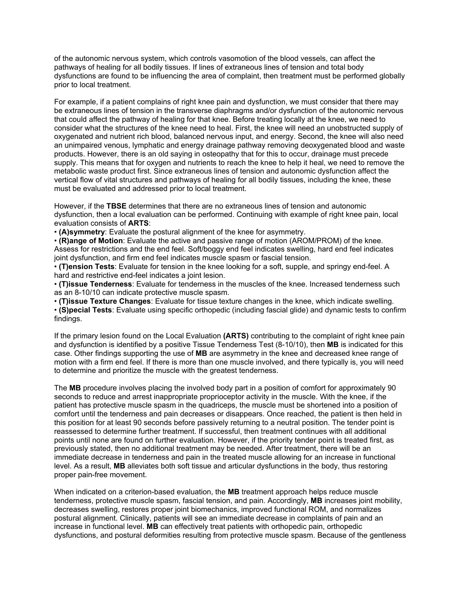of the autonomic nervous system, which controls vasomotion of the blood vessels, can affect the pathways of healing for all bodily tissues. If lines of extraneous lines of tension and total body dysfunctions are found to be influencing the area of complaint, then treatment must be performed globally prior to local treatment.

For example, if a patient complains of right knee pain and dysfunction, we must consider that there may be extraneous lines of tension in the transverse diaphragms and/or dysfunction of the autonomic nervous that could affect the pathway of healing for that knee. Before treating locally at the knee, we need to consider what the structures of the knee need to heal. First, the knee will need an unobstructed supply of oxygenated and nutrient rich blood, balanced nervous input, and energy. Second, the knee will also need an unimpaired venous, lymphatic and energy drainage pathway removing deoxygenated blood and waste products. However, there is an old saying in osteopathy that for this to occur, drainage must precede supply. This means that for oxygen and nutrients to reach the knee to help it heal, we need to remove the metabolic waste product first. Since extraneous lines of tension and autonomic dysfunction affect the vertical flow of vital structures and pathways of healing for all bodily tissues, including the knee, these must be evaluated and addressed prior to local treatment.

However, if the **TBSE** determines that there are no extraneous lines of tension and autonomic dysfunction, then a local evaluation can be performed. Continuing with example of right knee pain, local evaluation consists of **ARTS**:

• **(A)symmetry**: Evaluate the postural alignment of the knee for asymmetry.

• **(R)ange of Motion**: Evaluate the active and passive range of motion (AROM/PROM) of the knee. Assess for restrictions and the end feel. Soft/boggy end feel indicates swelling, hard end feel indicates joint dysfunction, and firm end feel indicates muscle spasm or fascial tension.

• **(T)ension Tests**: Evaluate for tension in the knee looking for a soft, supple, and springy end-feel. A hard and restrictive end-feel indicates a joint lesion.

• **(T)issue Tenderness**: Evaluate for tenderness in the muscles of the knee. Increased tenderness such as an 8-10/10 can indicate protective muscle spasm.

• **(T)issue Texture Changes**: Evaluate for tissue texture changes in the knee, which indicate swelling.

• **(S)pecial Tests**: Evaluate using specific orthopedic (including fascial glide) and dynamic tests to confirm findings.

If the primary lesion found on the Local Evaluation **(ARTS)** contributing to the complaint of right knee pain and dysfunction is identified by a positive Tissue Tenderness Test (8-10/10), then **MB** is indicated for this case. Other findings supporting the use of **MB** are asymmetry in the knee and decreased knee range of motion with a firm end feel. If there is more than one muscle involved, and there typically is, you will need to determine and prioritize the muscle with the greatest tenderness.

The **MB** procedure involves placing the involved body part in a position of comfort for approximately 90 seconds to reduce and arrest inappropriate proprioceptor activity in the muscle. With the knee, if the patient has protective muscle spasm in the quadriceps, the muscle must be shortened into a position of comfort until the tenderness and pain decreases or disappears. Once reached, the patient is then held in this position for at least 90 seconds before passively returning to a neutral position. The tender point is reassessed to determine further treatment. If successful, then treatment continues with all additional points until none are found on further evaluation. However, if the priority tender point is treated first, as previously stated, then no additional treatment may be needed. After treatment, there will be an immediate decrease in tenderness and pain in the treated muscle allowing for an increase in functional level. As a result, **MB** alleviates both soft tissue and articular dysfunctions in the body, thus restoring proper pain-free movement.

When indicated on a criterion-based evaluation, the **MB** treatment approach helps reduce muscle tenderness, protective muscle spasm, fascial tension, and pain. Accordingly, **MB** increases joint mobility, decreases swelling, restores proper joint biomechanics, improved functional ROM, and normalizes postural alignment. Clinically, patients will see an immediate decrease in complaints of pain and an increase in functional level. **MB** can effectively treat patients with orthopedic pain, orthopedic dysfunctions, and postural deformities resulting from protective muscle spasm. Because of the gentleness